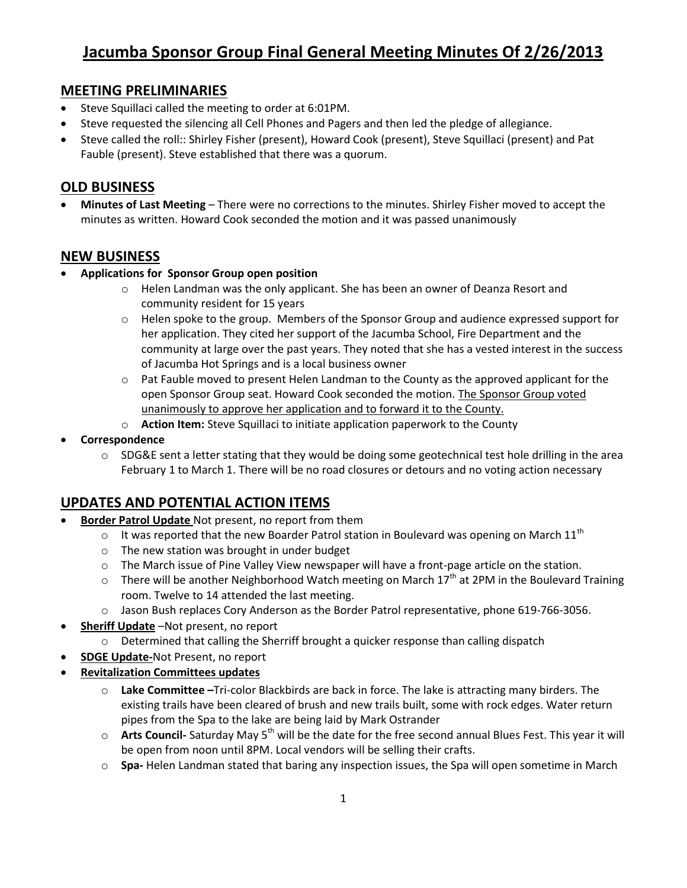# **Jacumba Sponsor Group Final General Meeting Minutes Of 2/26/2013**

#### **MEETING PRELIMINARIES**

- Steve Squillaci called the meeting to order at 6:01PM.
- Steve requested the silencing all Cell Phones and Pagers and then led the pledge of allegiance.
- Steve called the roll:: Shirley Fisher (present), Howard Cook (present), Steve Squillaci (present) and Pat Fauble (present). Steve established that there was a quorum.

### **OLD BUSINESS**

 **Minutes of Last Meeting** – There were no corrections to the minutes. Shirley Fisher moved to accept the minutes as written. Howard Cook seconded the motion and it was passed unanimously

#### **NEW BUSINESS**

- **Applications for Sponsor Group open position**
	- o Helen Landman was the only applicant. She has been an owner of Deanza Resort and community resident for 15 years
	- $\circ$  Helen spoke to the group. Members of the Sponsor Group and audience expressed support for her application. They cited her support of the Jacumba School, Fire Department and the community at large over the past years. They noted that she has a vested interest in the success of Jacumba Hot Springs and is a local business owner
	- $\circ$  Pat Fauble moved to present Helen Landman to the County as the approved applicant for the open Sponsor Group seat. Howard Cook seconded the motion. The Sponsor Group voted unanimously to approve her application and to forward it to the County.
	- o **Action Item:** Steve Squillaci to initiate application paperwork to the County
- **Correspondence** 
	- $\circ$  SDG&E sent a letter stating that they would be doing some geotechnical test hole drilling in the area February 1 to March 1. There will be no road closures or detours and no voting action necessary

## **UPDATES AND POTENTIAL ACTION ITEMS**

- **Border Patrol Update** Not present, no report from them
	- $\circ$  It was reported that the new Boarder Patrol station in Boulevard was opening on March 11<sup>th</sup>
	- o The new station was brought in under budget
	- o The March issue of Pine Valley View newspaper will have a front-page article on the station.
	- $\circ$  There will be another Neighborhood Watch meeting on March 17<sup>th</sup> at 2PM in the Boulevard Training room. Twelve to 14 attended the last meeting.
	- o Jason Bush replaces Cory Anderson as the Border Patrol representative, phone 619-766-3056.
- **Sheriff Update** –Not present, no report
	- $\circ$  Determined that calling the Sherriff brought a quicker response than calling dispatch
- **SDGE Update-**Not Present, no report
- **Revitalization Committees updates**
	- o **Lake Committee –**Tri-color Blackbirds are back in force. The lake is attracting many birders. The existing trails have been cleared of brush and new trails built, some with rock edges. Water return pipes from the Spa to the lake are being laid by Mark Ostrander
	- o **Arts Council-** Saturday May 5<sup>th</sup> will be the date for the free second annual Blues Fest. This year it will be open from noon until 8PM. Local vendors will be selling their crafts.
	- o **Spa-** Helen Landman stated that baring any inspection issues, the Spa will open sometime in March